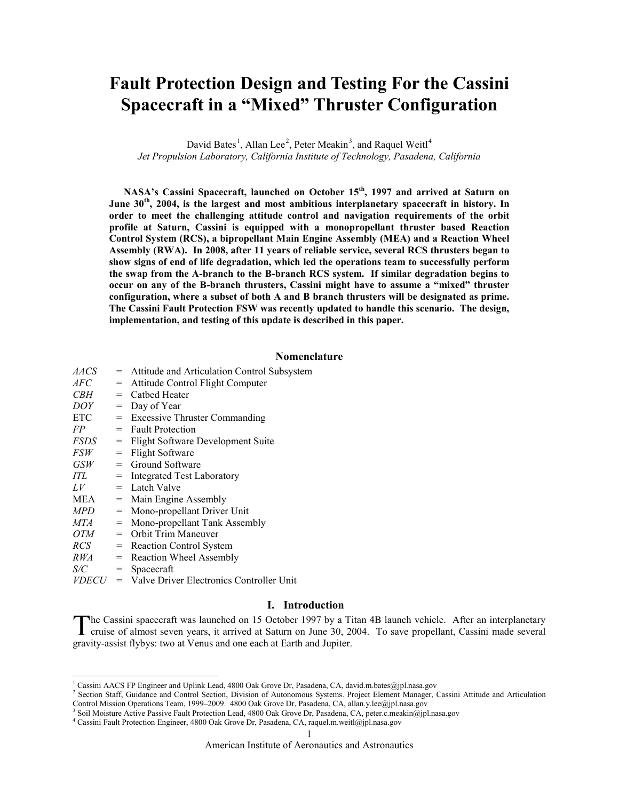# **Fault Protection Design and Testing For the Cassini Spacecraft in a "Mixed" Thruster Configuration**

David Bates<sup>[1](#page-0-0)</sup>, Allan Lee<sup>[2](#page-0-1)</sup>, Peter Meakin<sup>[3](#page-0-2)</sup>, and Raquel Weitl<sup>[4](#page-0-3)</sup> *Jet Propulsion Laboratory, California Institute of Technology, Pasadena, California*

**NASA's Cassini Spacecraft, launched on October 15th, 1997 and arrived at Saturn on June 30th, 2004, is the largest and most ambitious interplanetary spacecraft in history. In order to meet the challenging attitude control and navigation requirements of the orbit profile at Saturn, Cassini is equipped with a monopropellant thruster based Reaction Control System (RCS), a bipropellant Main Engine Assembly (MEA) and a Reaction Wheel Assembly (RWA). In 2008, after 11 years of reliable service, several RCS thrusters began to show signs of end of life degradation, which led the operations team to successfully perform the swap from the A-branch to the B-branch RCS system. If similar degradation begins to occur on any of the B-branch thrusters, Cassini might have to assume a "mixed" thruster configuration, where a subset of both A and B branch thrusters will be designated as prime. The Cassini Fault Protection FSW was recently updated to handle this scenario. The design, implementation, and testing of this update is described in this paper.**

#### **Nomenclature**

| <i>AACS</i> |     | = Attitude and Articulation Control Subsystem                      |
|-------------|-----|--------------------------------------------------------------------|
| AFC         | $=$ | Attitude Control Flight Computer                                   |
| <i>CBH</i>  |     | $=$ Cathed Heater                                                  |
| DOY         | $=$ | Day of Year                                                        |
| <b>ETC</b>  |     | = Excessive Thruster Commanding                                    |
| FP          |     | $=$ Fault Protection                                               |
| <i>FSDS</i> | $=$ | Flight Software Development Suite                                  |
| <i>FSW</i>  |     | $=$ Flight Software                                                |
| GSW         | $=$ | Ground Software                                                    |
| ITL         | $=$ | Integrated Test Laboratory                                         |
| LV          | $=$ | Latch Valve                                                        |
| MEA         | $=$ | Main Engine Assembly                                               |
| <b>MPD</b>  | $=$ | Mono-propellant Driver Unit                                        |
| MTA         | $=$ | Mono-propellant Tank Assembly                                      |
| OTM         | $=$ | Orbit Trim Maneuver                                                |
| <i>RCS</i>  |     | = Reaction Control System                                          |
| <i>RWA</i>  | $=$ | Reaction Wheel Assembly                                            |
| S/C         | $=$ | Spacecraft                                                         |
| 17D PAI 1   |     | $\mathbf{v}$ in the set of $\mathbf{v}$ in the set of $\mathbf{v}$ |

*VDECU* = Valve Driver Electronics Controller Unit

 $\overline{a}$ 

# **I. Introduction**

he Cassini spacecraft was launched on 15 October 1997 by a Titan 4B launch vehicle. After an interplanetary The Cassini spacecraft was launched on 15 October 1997 by a Titan 4B launch vehicle. After an interplanetary cruise of almost seven years, it arrived at Saturn on June 30, 2004. To save propellant, Cassini made several gravity-assist flybys: two at Venus and one each at Earth and Jupiter.

<sup>&</sup>lt;sup>1</sup> Cassini AACS FP Engineer and Uplink Lead, 4800 Oak Grove Dr, Pasadena, CA, david.m.bates@jpl.nasa.gov

<span id="page-0-1"></span><span id="page-0-0"></span><sup>&</sup>lt;sup>2</sup> Section Staff, Guidance and Control Section, Division of Autonomous Systems. Project Element Manager, Cassini Attitude and Articulation Control Mission Operations Team, 1999–2009. 4800 Oak Grove Dr, Pasadena, CA, allan.y.lee@jpl.nasa.gov

<span id="page-0-3"></span><span id="page-0-2"></span><sup>&</sup>lt;sup>4</sup> Cassini Fault Protection Engineer, 4800 Oak Grove Dr, Pasadena, CA, raquel.m.weitl@jpl.nasa.gov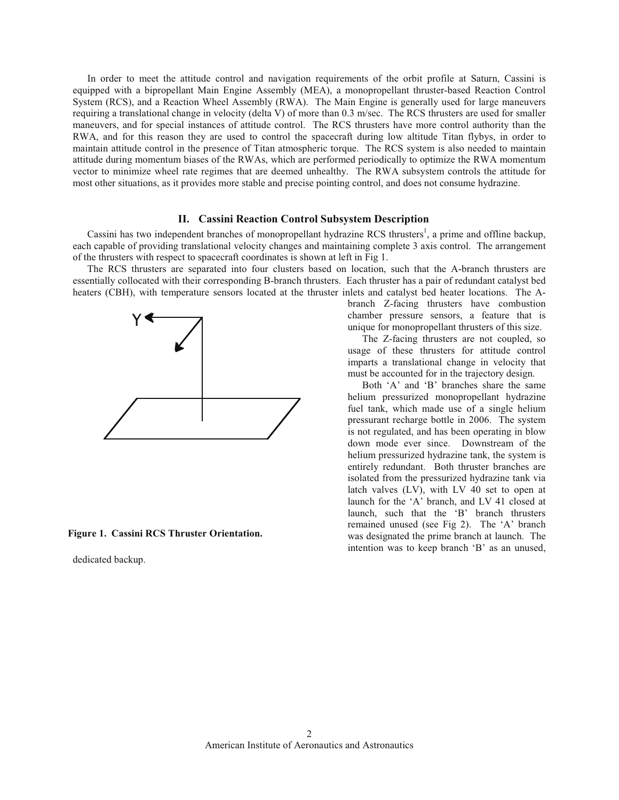In order to meet the attitude control and navigation requirements of the orbit profile at Saturn, Cassini is equipped with a bipropellant Main Engine Assembly (MEA), a monopropellant thruster-based Reaction Control System (RCS), and a Reaction Wheel Assembly (RWA). The Main Engine is generally used for large maneuvers requiring a translational change in velocity (delta V) of more than  $0.3$  m/sec. The RCS thrusters are used for smaller maneuvers, and for special instances of attitude control. The RCS thrusters have more control authority than the RWA, and for this reason they are used to control the spacecraft during low altitude Titan flybys, in order to maintain attitude control in the presence of Titan atmospheric torque. The RCS system is also needed to maintain attitude during momentum biases of the RWAs, which are performed periodically to optimize the RWA momentum vector to minimize wheel rate regimes that are deemed unhealthy. The RWA subsystem controls the attitude for most other situations, as it provides more stable and precise pointing control, and does not consume hydrazine.

## **II.** Cassini Reaction Control Subsystem Description

Cassini has two independent branches of monopropellant hydrazine RCS thrusters<sup>1</sup>, a prime and offline backup, each capable of providing translational velocity changes and maintaining complete 3 axis control. The arrangement of the thrusters with respect to spacecraft coordinates is shown at left in Fig 1.

The RCS thrusters are separated into four clusters based on location, such that the A-branch thrusters are essentially collocated with their corresponding B-branch thrusters. Each thruster has a pair of redundant catalyst bed heaters (CBH), with temperature sensors located at the thruster inlets and catalyst bed heater locations. The A-



**Figure 1. Cassini RCS Thruster Orientation.** 

dedicated backup.

branch Z-facing thrusters have combustion chamber pressure sensors, a feature that is unique for monopropellant thrusters of this size.

The Z-facing thrusters are not coupled, so usage of these thrusters for attitude control imparts a translational change in velocity that must be accounted for in the trajectory design.

Both 'A' and 'B' branches share the same helium pressurized monopropellant hydrazine fuel tank, which made use of a single helium pressurant recharge bottle in 2006. The system is not regulated, and has been operating in blow down mode ever since. Downstream of the helium pressurized hydrazine tank, the system is entirely redundant. Both thruster branches are isolated from the pressurized hydrazine tank via latch valves  $(LV)$ , with  $LV$  40 set to open at launch for the 'A' branch, and LV 41 closed at launch, such that the 'B' branch thrusters remained unused (see Fig 2). The  $A$  branch was designated the prime branch at launch. The intention was to keep branch 'B' as an unused,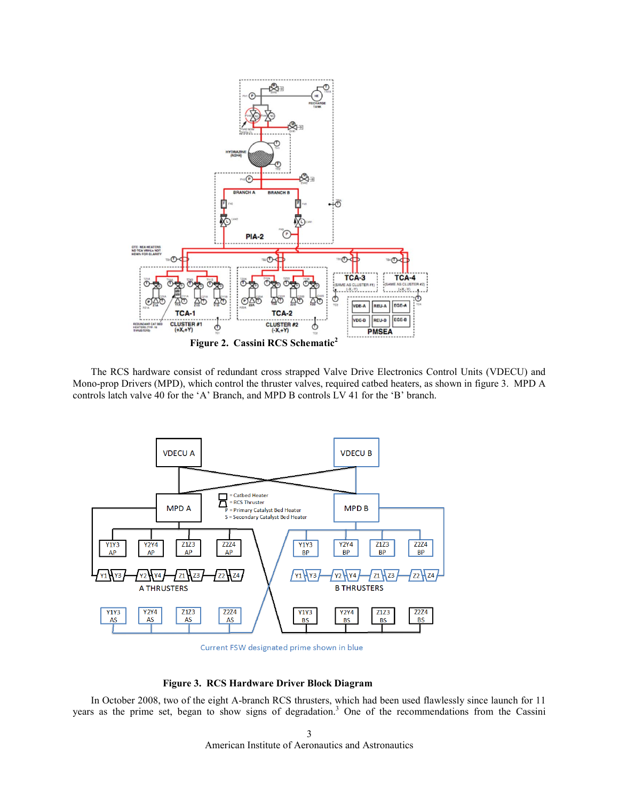

The RCS hardware consist of redundant cross strapped Valve Drive Electronics Control Units (VDECU) and Mono-prop Drivers (MPD), which control the thruster valves, required catbed heaters, as shown in figure 3. MPD A controls latch valve 40 for the 'A' Branch, and MPD B controls LV 41 for the 'B' branch.



Current FSW designated prime shown in blue

# **Figure 3. RCS Hardware Driver Block Diagram**

In October 2008, two of the eight A-branch RCS thrusters, which had been used flawlessly since launch for 11 years as the prime set, began to show signs of degradation. <sup>3</sup> One of the recommendations from the Cassini

> American Institute of Aeronautics and Astronautics 3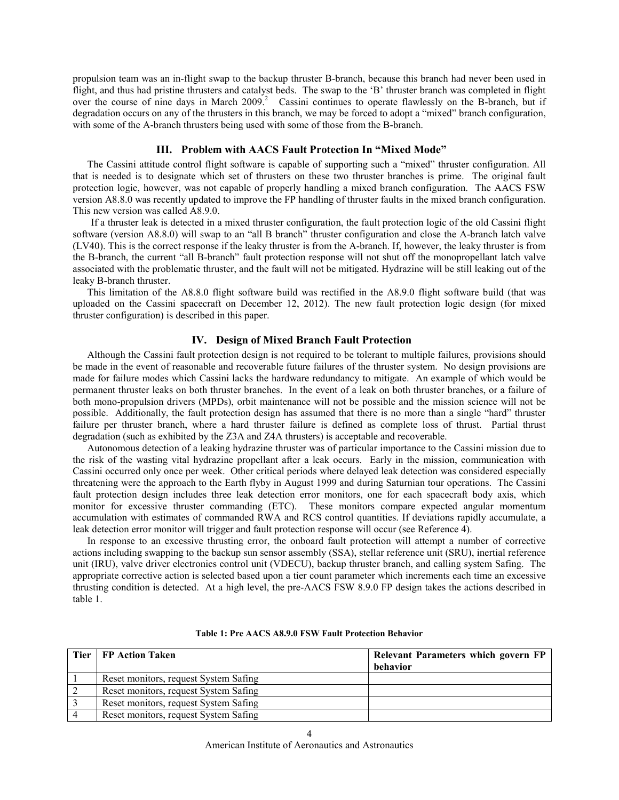propulsion team was an in-flight swap to the backup thruster B-branch, because this branch had never been used in flight, and thus had pristine thrusters and catalyst beds. The swap to the 'B' thruster branch was completed in flight over the course of nine days in March 2009.<sup>2</sup> Cassini continues to operate flawlessly on the B-branch, but if degradation occurs on any of the thrusters in this branch, we may be forced to adopt a "mixed" branch configuration, with some of the A-branch thrusters being used with some of those from the B-branch.

## **III. Problem with AACS Fault Protection In "Mixed Mode"**

The Cassini attitude control flight software is capable of supporting such a "mixed" thruster configuration. All that is needed is to designate which set of thrusters on these two thruster branches is prime. The original fault protection logic, however, was not capable of properly handling a mixed branch configuration. The AACS FSW version A8.8.0 was recently updated to improve the FP handling of thruster faults in the mixed branch configuration. This new version was called A8.9.0.

If a thruster leak is detected in a mixed thruster configuration, the fault protection logic of the old Cassini flight software (version A8.8.0) will swap to an "all B branch" thruster configuration and close the A-branch latch valve (LV40). This is the correct response if the leaky thruster is from the A-branch. If, however, the leaky thruster is from the B-branch, the current "all B-branch" fault protection response will not shut off the monopropellant latch valve associated with the problematic thruster, and the fault will not be mitigated. Hydrazine will be still leaking out of the leaky B-branch thruster.

This limitation of the A8.8.0 flight software build was rectified in the A8.9.0 flight software build (that was uploaded on the Cassini spacecraft on December 12, 2012). The new fault protection logic design (for mixed thruster configuration) is described in this paper.

## **IV. Design of Mixed Branch Fault Protection**

Although the Cassini fault protection design is not required to be tolerant to multiple failures, provisions should be made in the event of reasonable and recoverable future failures of the thruster system. No design provisions are made for failure modes which Cassini lacks the hardware redundancy to mitigate. An example of which would be permanent thruster leaks on both thruster branches. In the event of a leak on both thruster branches, or a failure of both mono-propulsion drivers (MPDs), orbit maintenance will not be possible and the mission science will not be possible. Additionally, the fault protection design has assumed that there is no more than a single "hard" thruster failure per thruster branch, where a hard thruster failure is defined as complete loss of thrust. Partial thrust degradation (such as exhibited by the Z3A and Z4A thrusters) is acceptable and recoverable.

Autonomous detection of a leaking hydrazine thruster was of particular importance to the Cassini mission due to the risk of the wasting vital hydrazine propellant after a leak occurs. Early in the mission, communication with Cassini occurred only once per week. Other critical periods where delayed leak detection was considered especially threatening were the approach to the Earth flyby in August 1999 and during Saturnian tour operations. The Cassini fault protection design includes three leak detection error monitors, one for each spacecraft body axis, which monitor for excessive thruster commanding (ETC). These monitors compare expected angular momentum accumulation with estimates of commanded RWA and RCS control quantities. If deviations rapidly accumulate, a leak detection error monitor will trigger and fault protection response will occur (see Reference 4).

In response to an excessive thrusting error, the onboard fault protection will attempt a number of corrective actions including swapping to the backup sun sensor assembly (SSA), stellar reference unit (SRU), inertial reference unit (IRU), valve driver electronics control unit (VDECU), backup thruster branch, and calling system Safing. The appropriate corrective action is selected based upon a tier count parameter which increments each time an excessive thrusting condition is detected. At a high level, the pre-AACS FSW 8.9.0 FP design takes the actions described in table 1.

| Tier   FP Action Taken                | <b>Relevant Parameters which govern FP</b><br>behavior |
|---------------------------------------|--------------------------------------------------------|
| Reset monitors, request System Safing |                                                        |
| Reset monitors, request System Safing |                                                        |
| Reset monitors, request System Safing |                                                        |
| Reset monitors, request System Safing |                                                        |

**Table 1: Pre AACS A8.9.0 FSW Fault Protection Behavior**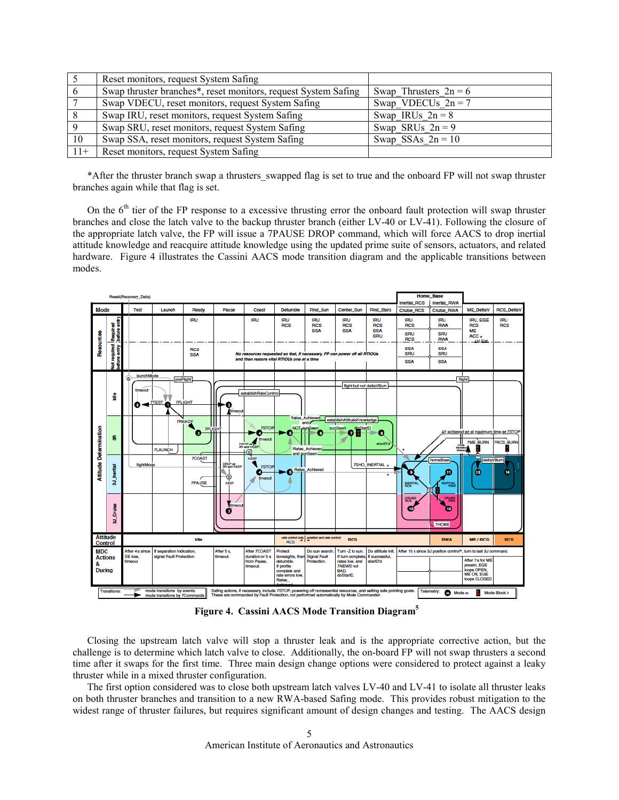|       | Reset monitors, request System Safing                          |                         |
|-------|----------------------------------------------------------------|-------------------------|
|       | Swap thruster branches*, reset monitors, request System Safing | Swap Thrusters $2n = 6$ |
|       | Swap VDECU, reset monitors, request System Safing              | Swap VDECUs $2n = 7$    |
| 8     | Swap IRU, reset monitors, request System Safing                | Swap IRUs $2n = 8$      |
| -9    | Swap SRU, reset monitors, request System Safing                | Swap SRUs $2n = 9$      |
| 10    | Swap SSA, reset monitors, request System Safing                | Swap_SSAs_ $2n = 10$    |
| $11+$ | Reset monitors, request System Safing                          |                         |

\*After the thruster branch swap a thrusters\_swapped flag is set to true and the onboard FP will not swap thruster branches again while that flag is set.

On the  $6<sup>th</sup>$  tier of the FP response to a excessive thrusting error the onboard fault protection will swap thruster branches and close the latch valve to the backup thruster branch (either LV-40 or LV-41). Following the closure of the appropriate latch valve, the FP will issue a 7PAUSE DROP command, which will force AACS to drop inertial attitude knowledge and reacquire attitude knowledge using the updated prime suite of sensors, actuators, and related hardware. Figure 4 illustrates the Cassini AACS mode transition diagram and the applicable transitions between modes.



**Figure 4. Cassini AACS Mode Transition Diagram5**

Closing the upstream latch valve will stop a thruster leak and is the appropriate corrective action, but the challenge is to determine which latch valve to close. Additionally, the on-board FP will not swap thrusters a second time after it swaps for the first time. Three main design change options were considered to protect against a leaky thruster while in a mixed thruster configuration.

 The first option considered was to close both upstream latch valves LV-40 and LV-41 to isolate all thruster leaks on both thruster branches and transition to a new RWA-based Safing mode. This provides robust mitigation to the widest range of thruster failures, but requires significant amount of design changes and testing. The AACS design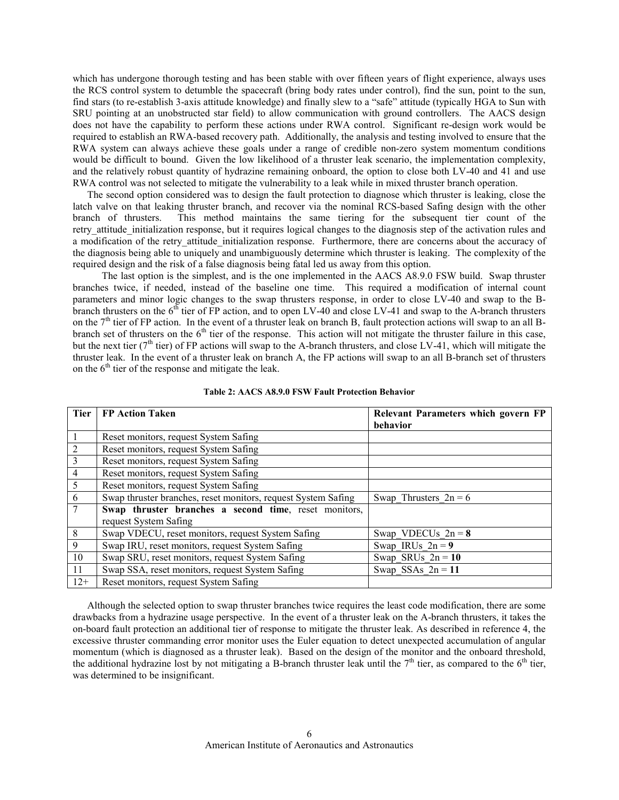which has undergone thorough testing and has been stable with over fifteen years of flight experience, always uses the RCS control system to detumble the spacecraft (bring body rates under control), find the sun, point to the sun, find stars (to re-establish 3-axis attitude knowledge) and finally slew to a "safe" attitude (typically HGA to Sun with SRU pointing at an unobstructed star field) to allow communication with ground controllers. The AACS design does not have the capability to perform these actions under RWA control. Significant re-design work would be required to establish an RWA-based recovery path. Additionally, the analysis and testing involved to ensure that the RWA system can always achieve these goals under a range of credible non-zero system momentum conditions would be difficult to bound. Given the low likelihood of a thruster leak scenario, the implementation complexity, and the relatively robust quantity of hydrazine remaining onboard, the option to close both LV-40 and 41 and use RWA control was not selected to mitigate the vulnerability to a leak while in mixed thruster branch operation.

The second option considered was to design the fault protection to diagnose which thruster is leaking, close the latch valve on that leaking thruster branch, and recover via the nominal RCS-based Safing design with the other branch of thrusters. This method maintains the same tiering for the subsequent tier count of the retry attitude initialization response, but it requires logical changes to the diagnosis step of the activation rules and a modification of the retry attitude initialization response. Furthermore, there are concerns about the accuracy of the diagnosis being able to uniquely and unambiguously determine which thruster is leaking. The complexity of the required design and the risk of a false diagnosis being fatal led us away from this option.

The last option is the simplest, and is the one implemented in the AACS A8.9.0 FSW build. Swap thruster branches twice, if needed, instead of the baseline one time. This required a modification of internal count parameters and minor logic changes to the swap thrusters response, in order to close LV-40 and swap to the Bbranch thrusters on the  $6^{th}$  tier of FP action, and to open LV-40 and close LV-41 and swap to the A-branch thrusters on the  $7<sup>th</sup>$  tier of FP action. In the event of a thruster leak on branch B, fault protection actions will swap to an all Bbranch set of thrusters on the  $6<sup>th</sup>$  tier of the response. This action will not mitigate the thruster failure in this case, but the next tier ( $7<sup>th</sup>$  tier) of FP actions will swap to the A-branch thrusters, and close LV-41, which will mitigate the thruster leak. In the event of a thruster leak on branch A, the FP actions will swap to an all B-branch set of thrusters on the  $6<sup>th</sup>$  tier of the response and mitigate the leak.

| <b>Tier</b>    | <b>FP Action Taken</b>                                        | Relevant Parameters which govern FP<br>behavior |
|----------------|---------------------------------------------------------------|-------------------------------------------------|
|                | Reset monitors, request System Safing                         |                                                 |
| 2              | Reset monitors, request System Safing                         |                                                 |
| 3              | Reset monitors, request System Safing                         |                                                 |
| $\overline{4}$ | Reset monitors, request System Safing                         |                                                 |
| 5              | Reset monitors, request System Safing                         |                                                 |
| 6              | Swap thruster branches, reset monitors, request System Safing | Swap Thrusters $2n = 6$                         |
|                | Swap thruster branches a second time, reset monitors,         |                                                 |
|                | request System Safing                                         |                                                 |
| 8              | Swap VDECU, reset monitors, request System Safing             | Swap VDECUs $2n = 8$                            |
| 9              | Swap IRU, reset monitors, request System Safing               | Swap IRUs $2n = 9$                              |
| 10             | Swap SRU, reset monitors, request System Safing               | Swap SRUs $2n = 10$                             |
| 11             | Swap SSA, reset monitors, request System Safing               | Swap SSAs $2n = 11$                             |
| $12+$          | Reset monitors, request System Safing                         |                                                 |

**Table 2: AACS A8.9.0 FSW Fault Protection Behavior** 

Although the selected option to swap thruster branches twice requires the least code modification, there are some drawbacks from a hydrazine usage perspective. In the event of a thruster leak on the A-branch thrusters, it takes the on-board fault protection an additional tier of response to mitigate the thruster leak. As described in reference 4, the excessive thruster commanding error monitor uses the Euler equation to detect unexpected accumulation of angular momentum (which is diagnosed as a thruster leak). Based on the design of the monitor and the onboard threshold, the additional hydrazine lost by not mitigating a B-branch thruster leak until the  $7<sup>th</sup>$  tier, as compared to the 6<sup>th</sup> tier, was determined to be insignificant.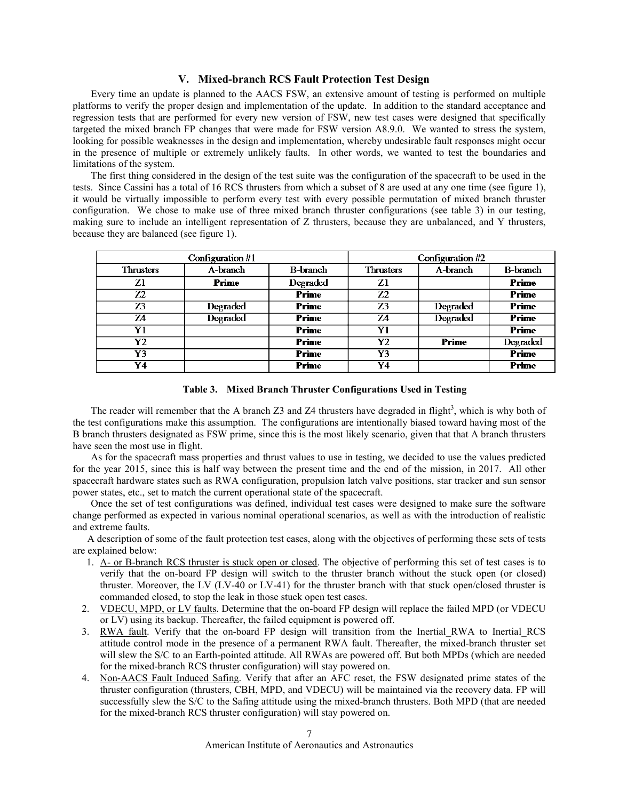## **V. Mixed-branch RCS Fault Protection Test Design**

Every time an update is planned to the AACS FSW, an extensive amount of testing is performed on multiple platforms to verify the proper design and implementation of the update. In addition to the standard acceptance and regression tests that are performed for every new version of FSW, new test cases were designed that specifically targeted the mixed branch FP changes that were made for FSW version A8.9.0. We wanted to stress the system, looking for possible weaknesses in the design and implementation, whereby undesirable fault responses might occur in the presence of multiple or extremely unlikely faults. In other words, we wanted to test the boundaries and limitations of the system.

The first thing considered in the design of the test suite was the configuration of the spacecraft to be used in the tests. Since Cassini has a total of 16 RCS thrusters from which a subset of 8 are used at any one time (see figure 1), it would be virtually impossible to perform every test with every possible permutation of mixed branch thruster configuration. We chose to make use of three mixed branch thruster configurations (see table 3) in our testing, making sure to include an intelligent representation of Z thrusters, because they are unbalanced, and Y thrusters, because they are balanced (see figure 1).

|                  | Configuration #1 | Configuration #2 |                  |          |                 |
|------------------|------------------|------------------|------------------|----------|-----------------|
| <b>Thrusters</b> | A-branch         | <b>B-branch</b>  | <b>Thrusters</b> | A-branch | <b>B-branch</b> |
| Z1               | Prime            | Degraded         | Ζl               |          | Prime           |
| 72               |                  | Prime            | Z <sub>2</sub>   |          | Prime           |
| 73               | Degraded         | Prime            | Z3               | Degraded | Prime           |
| 74               | <b>Degraded</b>  | Prime            | 74               | Degraded | Prime           |
| Y1               |                  | Prime            | Y1               |          | Prime           |
| Y2               |                  | Prime            | Y2               | Prime    | Degraded        |
| Y3               |                  | Prime            | Y3               |          | Prime           |
| Y4               |                  | Prime            | Y4               |          | Prime           |



The reader will remember that the A branch  $Z3$  and  $Z4$  thrusters have degraded in flight<sup>3</sup>, which is why both of the test configurations make this assumption. The configurations are intentionally biased toward having most of the B branch thrusters designated as FSW prime, since this is the most likely scenario, given that that A branch thrusters have seen the most use in flight.

As for the spacecraft mass properties and thrust values to use in testing, we decided to use the values predicted for the year 2015, since this is half way between the present time and the end of the mission, in 2017. All other spacecraft hardware states such as RWA configuration, propulsion latch valve positions, star tracker and sun sensor power states, etc., set to match the current operational state of the spacecraft.

Once the set of test configurations was defined, individual test cases were designed to make sure the software change performed as expected in various nominal operational scenarios, as well as with the introduction of realistic and extreme faults.

A description of some of the fault protection test cases, along with the objectives of performing these sets of tests are explained below:

- 1. A- or B-branch RCS thruster is stuck open or closed. The objective of performing this set of test cases is to verify that the on-board FP design will switch to the thruster branch without the stuck open (or closed) thruster. Moreover, the LV (LV-40 or LV-41) for the thruster branch with that stuck open/closed thruster is commanded closed, to stop the leak in those stuck open test cases.
- 2. VDECU, MPD, or LV faults. Determine that the on-board FP design will replace the failed MPD (or VDECU or LV) using its backup. Thereafter, the failed equipment is powered off.
- 3. RWA fault. Verify that the on-board FP design will transition from the Inertial\_RWA to Inertial\_RCS attitude control mode in the presence of a permanent RWA fault. Thereafter, the mixed-branch thruster set will slew the S/C to an Earth-pointed attitude. All RWAs are powered off. But both MPDs (which are needed for the mixed-branch RCS thruster configuration) will stay powered on.
- 4. Non-AACS Fault Induced Safing. Verify that after an AFC reset, the FSW designated prime states of the thruster configuration (thrusters, CBH, MPD, and VDECU) will be maintained via the recovery data. FP will successfully slew the S/C to the Safing attitude using the mixed-branch thrusters. Both MPD (that are needed for the mixed-branch RCS thruster configuration) will stay powered on.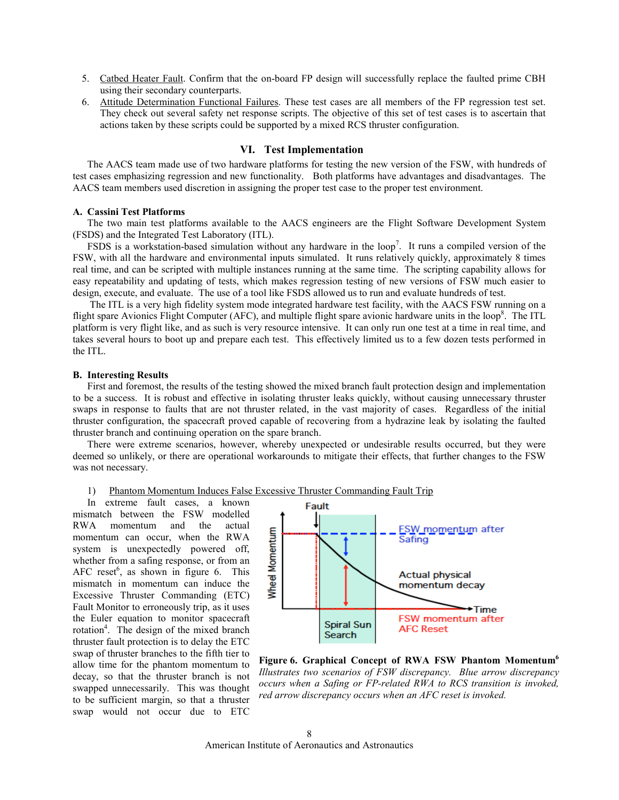- 5. Catbed Heater Fault. Confirm that the on-board FP design will successfully replace the faulted prime CBH using their secondary counterparts.
- 6. Attitude Determination Functional Failures. These test cases are all members of the FP regression test set. They check out several safety net response scripts. The objective of this set of test cases is to ascertain that actions taken by these scripts could be supported by a mixed RCS thruster configuration.

# **VI. Test Implementation**

The AACS team made use of two hardware platforms for testing the new version of the FSW, with hundreds of test cases emphasizing regression and new functionality. Both platforms have advantages and disadvantages. The AACS team members used discretion in assigning the proper test case to the proper test environment.

## **A. Cassini Test Platforms**

The two main test platforms available to the AACS engineers are the Flight Software Development System (FSDS) and the Integrated Test Laboratory (ITL).

FSDS is a workstation-based simulation without any hardware in the loop<sup>7</sup>. It runs a compiled version of the FSW, with all the hardware and environmental inputs simulated. It runs relatively quickly, approximately 8 times real time, and can be scripted with multiple instances running at the same time. The scripting capability allows for easy repeatability and updating of tests, which makes regression testing of new versions of FSW much easier to design, execute, and evaluate. The use of a tool like FSDS allowed us to run and evaluate hundreds of test.

 The ITL is a very high fidelity system mode integrated hardware test facility, with the AACS FSW running on a flight spare Avionics Flight Computer (AFC), and multiple flight spare avionic hardware units in the loop<sup>8</sup>. The ITL platform is very flight like, and as such is very resource intensive. It can only run one test at a time in real time, and takes several hours to boot up and prepare each test. This effectively limited us to a few dozen tests performed in the ITL.

#### **B. Interesting Results**

First and foremost, the results of the testing showed the mixed branch fault protection design and implementation to be a success. It is robust and effective in isolating thruster leaks quickly, without causing unnecessary thruster swaps in response to faults that are not thruster related, in the vast majority of cases. Regardless of the initial thruster configuration, the spacecraft proved capable of recovering from a hydrazine leak by isolating the faulted thruster branch and continuing operation on the spare branch.

There were extreme scenarios, however, whereby unexpected or undesirable results occurred, but they were deemed so unlikely, or there are operational workarounds to mitigate their effects, that further changes to the FSW was not necessary.

1) Phantom Momentum Induces False Excessive Thruster Commanding Fault Trip

In extreme fault cases, a known mismatch between the FSW modelled RWA momentum and the actual momentum can occur, when the RWA system is unexpectedly powered off, whether from a safing response, or from an AFC reset<sup>6</sup>, as shown in figure 6. This mismatch in momentum can induce the Excessive Thruster Commanding (ETC) Fault Monitor to erroneously trip, as it uses the Euler equation to monitor spacecraft rotation<sup>4</sup>. The design of the mixed branch thruster fault protection is to delay the ETC swap of thruster branches to the fifth tier to allow time for the phantom momentum to decay, so that the thruster branch is not swapped unnecessarily. This was thought to be sufficient margin, so that a thruster swap would not occur due to ETC



Figure 6. Graphical Concept of RWA FSW Phantom Momentum<sup>6</sup> *Illustrates two scenarios of FSW discrepancy. Blue arrow discrepancy occurs when a Safing or FP-related RWA to RCS transition is invoked, red arrow discrepancy occurs when an AFC reset is invoked.*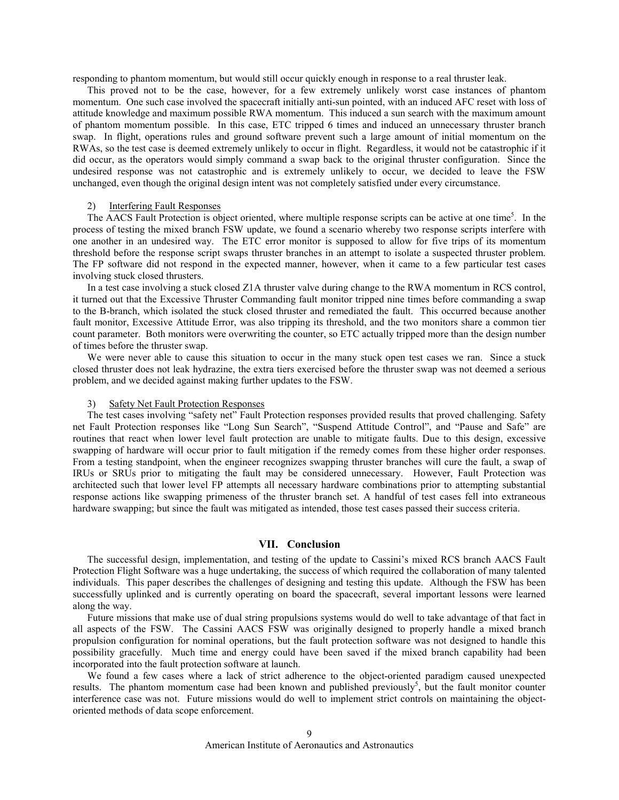responding to phantom momentum, but would still occur quickly enough in response to a real thruster leak.

This proved not to be the case, however, for a few extremely unlikely worst case instances of phantom momentum. One such case involved the spacecraft initially anti-sun pointed, with an induced AFC reset with loss of attitude knowledge and maximum possible RWA momentum. This induced a sun search with the maximum amount of phantom momentum possible. In this case, ETC tripped 6 times and induced an unnecessary thruster branch swap. In flight, operations rules and ground software prevent such a large amount of initial momentum on the RWAs, so the test case is deemed extremely unlikely to occur in flight. Regardless, it would not be catastrophic if it did occur, as the operators would simply command a swap back to the original thruster configuration. Since the undesired response was not catastrophic and is extremely unlikely to occur, we decided to leave the FSW unchanged, even though the original design intent was not completely satisfied under every circumstance.

## 2) Interfering Fault Responses

The AACS Fault Protection is object oriented, where multiple response scripts can be active at one time<sup>5</sup>. In the process of testing the mixed branch FSW update, we found a scenario whereby two response scripts interfere with one another in an undesired way. The ETC error monitor is supposed to allow for five trips of its momentum threshold before the response script swaps thruster branches in an attempt to isolate a suspected thruster problem. The FP software did not respond in the expected manner, however, when it came to a few particular test cases involving stuck closed thrusters.

In a test case involving a stuck closed Z1A thruster valve during change to the RWA momentum in RCS control, it turned out that the Excessive Thruster Commanding fault monitor tripped nine times before commanding a swap to the B-branch, which isolated the stuck closed thruster and remediated the fault. This occurred because another fault monitor, Excessive Attitude Error, was also tripping its threshold, and the two monitors share a common tier count parameter. Both monitors were overwriting the counter, so ETC actually tripped more than the design number of times before the thruster swap.

We were never able to cause this situation to occur in the many stuck open test cases we ran. Since a stuck closed thruster does not leak hydrazine, the extra tiers exercised before the thruster swap was not deemed a serious problem, and we decided against making further updates to the FSW.

## 3) Safety Net Fault Protection Responses

The test cases involving "safety net" Fault Protection responses provided results that proved challenging. Safety net Fault Protection responses like "Long Sun Search", "Suspend Attitude Control", and "Pause and Safe" are routines that react when lower level fault protection are unable to mitigate faults. Due to this design, excessive swapping of hardware will occur prior to fault mitigation if the remedy comes from these higher order responses. From a testing standpoint, when the engineer recognizes swapping thruster branches will cure the fault, a swap of IRUs or SRUs prior to mitigating the fault may be considered unnecessary. However, Fault Protection was architected such that lower level FP attempts all necessary hardware combinations prior to attempting substantial response actions like swapping primeness of the thruster branch set. A handful of test cases fell into extraneous hardware swapping; but since the fault was mitigated as intended, those test cases passed their success criteria.

# **VII. Conclusion**

The successful design, implementation, and testing of the update to Cassini's mixed RCS branch AACS Fault Protection Flight Software was a huge undertaking, the success of which required the collaboration of many talented individuals. This paper describes the challenges of designing and testing this update. Although the FSW has been successfully uplinked and is currently operating on board the spacecraft, several important lessons were learned along the way.

Future missions that make use of dual string propulsions systems would do well to take advantage of that fact in all aspects of the FSW. The Cassini AACS FSW was originally designed to properly handle a mixed branch propulsion configuration for nominal operations, but the fault protection software was not designed to handle this possibility gracefully. Much time and energy could have been saved if the mixed branch capability had been incorporated into the fault protection software at launch.

We found a few cases where a lack of strict adherence to the object-oriented paradigm caused unexpected results. The phantom momentum case had been known and published previously<sup>5</sup>, but the fault monitor counter interference case was not. Future missions would do well to implement strict controls on maintaining the objectoriented methods of data scope enforcement.